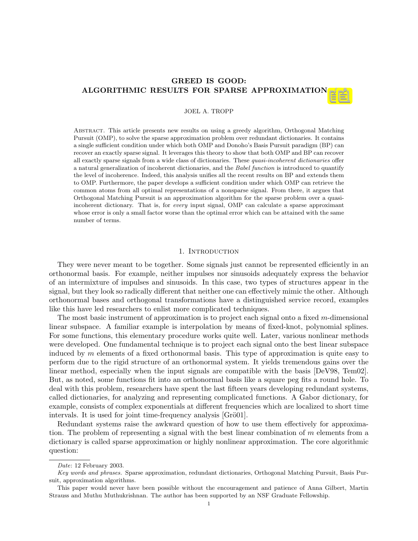# GREED IS GOOD: ALGORITHMIC RESULTS FOR SPARSE APPROXIMATION

### JOEL A. TROPP

Abstract. This article presents new results on using a greedy algorithm, Orthogonal Matching Pursuit (OMP), to solve the sparse approximation problem over redundant dictionaries. It contains a single sufficient condition under which both OMP and Donoho's Basis Pursuit paradigm (BP) can recover an exactly sparse signal. It leverages this theory to show that both OMP and BP can recover all exactly sparse signals from a wide class of dictionaries. These quasi-incoherent dictionaries offer a natural generalization of incoherent dictionaries, and the Babel function is introduced to quantify the level of incoherence. Indeed, this analysis unifies all the recent results on BP and extends them to OMP. Furthermore, the paper develops a sufficient condition under which OMP can retrieve the common atoms from all optimal representations of a nonsparse signal. From there, it argues that Orthogonal Matching Pursuit is an approximation algorithm for the sparse problem over a quasiincoherent dictionary. That is, for every input signal, OMP can calculate a sparse approximant whose error is only a small factor worse than the optimal error which can be attained with the same number of terms.

### 1. Introduction

They were never meant to be together. Some signals just cannot be represented efficiently in an orthonormal basis. For example, neither impulses nor sinusoids adequately express the behavior of an intermixture of impulses and sinusoids. In this case, two types of structures appear in the signal, but they look so radically different that neither one can effectively mimic the other. Although orthonormal bases and orthogonal transformations have a distinguished service record, examples like this have led researchers to enlist more complicated techniques.

The most basic instrument of approximation is to project each signal onto a fixed  $m$ -dimensional linear subspace. A familiar example is interpolation by means of fixed-knot, polynomial splines. For some functions, this elementary procedure works quite well. Later, various nonlinear methods were developed. One fundamental technique is to project each signal onto the best linear subspace induced by  $m$  elements of a fixed orthonormal basis. This type of approximation is quite easy to perform due to the rigid structure of an orthonormal system. It yields tremendous gains over the linear method, especially when the input signals are compatible with the basis [DeV98, Tem02]. But, as noted, some functions fit into an orthonormal basis like a square peg fits a round hole. To deal with this problem, researchers have spent the last fifteen years developing redundant systems, called dictionaries, for analyzing and representing complicated functions. A Gabor dictionary, for example, consists of complex exponentials at different frequencies which are localized to short time intervals. It is used for joint time-frequency analysis [Grö01].

Redundant systems raise the awkward question of how to use them effectively for approximation. The problem of representing a signal with the best linear combination of  $m$  elements from a dictionary is called sparse approximation or highly nonlinear approximation. The core algorithmic question:

Date: 12 February 2003.

Key words and phrases. Sparse approximation, redundant dictionaries, Orthogonal Matching Pursuit, Basis Pursuit, approximation algorithms.

This paper would never have been possible without the encouragement and patience of Anna Gilbert, Martin Strauss and Muthu Muthukrishnan. The author has been supported by an NSF Graduate Fellowship.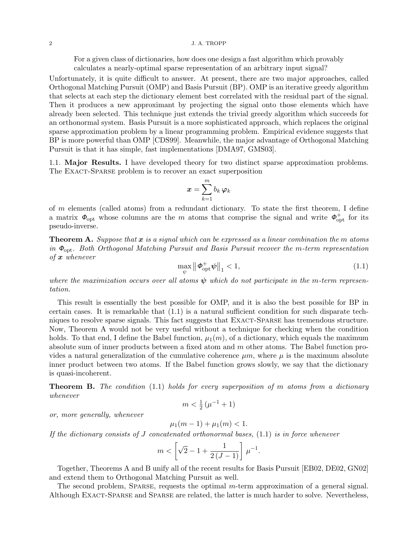#### 2 J. A. TROPP

For a given class of dictionaries, how does one design a fast algorithm which provably calculates a nearly-optimal sparse representation of an arbitrary input signal?

Unfortunately, it is quite difficult to answer. At present, there are two major approaches, called Orthogonal Matching Pursuit (OMP) and Basis Pursuit (BP). OMP is an iterative greedy algorithm that selects at each step the dictionary element best correlated with the residual part of the signal. Then it produces a new approximant by projecting the signal onto those elements which have already been selected. This technique just extends the trivial greedy algorithm which succeeds for an orthonormal system. Basis Pursuit is a more sophisticated approach, which replaces the original sparse approximation problem by a linear programming problem. Empirical evidence suggests that BP is more powerful than OMP [CDS99]. Meanwhile, the major advantage of Orthogonal Matching Pursuit is that it has simple, fast implementations [DMA97, GMS03].

1.1. Major Results. I have developed theory for two distinct sparse approximation problems. The EXACT-SPARSE problem is to recover an exact superposition

$$
\displaystyle \pmb{x} = \sum_{k=1}^m b_k \, \pmb{\varphi}_k
$$

of m elements (called atoms) from a redundant dictionary. To state the first theorem, I define a matrix  $\Phi_{\text{opt}}$  whose columns are the m atoms that comprise the signal and write  $\Phi_{\text{opt}}^+$  for its pseudo-inverse.

**Theorem A.** Suppose that  $x$  is a signal which can be expressed as a linear combination the m atoms in  $\Phi_{\text{opt}}$ . Both Orthogonal Matching Pursuit and Basis Pursuit recover the m-term representation of  $x$  whenever

$$
\max_{\psi} \left\| \boldsymbol{\phi}_{\text{opt}}^+ \boldsymbol{\psi} \right\|_1 < 1,\tag{1.1}
$$

where the maximization occurs over all atoms  $\psi$  which do not participate in the m-term representation.

This result is essentially the best possible for OMP, and it is also the best possible for BP in certain cases. It is remarkable that (1.1) is a natural sufficient condition for such disparate techniques to resolve sparse signals. This fact suggests that Exact-Sparse has tremendous structure. Now, Theorem A would not be very useful without a technique for checking when the condition holds. To that end, I define the Babel function,  $\mu_1(m)$ , of a dictionary, which equals the maximum absolute sum of inner products between a fixed atom and m other atoms. The Babel function provides a natural generalization of the cumulative coherence  $\mu m$ , where  $\mu$  is the maximum absolute inner product between two atoms. If the Babel function grows slowly, we say that the dictionary is quasi-incoherent.

**Theorem B.** The condition  $(1.1)$  holds for every superposition of m atoms from a dictionary whenever

$$
m < \frac{1}{2} \left( \mu^{-1} + 1 \right)
$$

or, more generally, whenever

$$
\mu_1(m-1) + \mu_1(m) < 1.
$$

If the dictionary consists of J concatenated orthonormal bases,  $(1.1)$  is in force whenever

$$
m < \left[ \sqrt{2} - 1 + \frac{1}{2\left( J - 1 \right)} \right] \, \mu^{-1}.
$$

Together, Theorems A and B unify all of the recent results for Basis Pursuit [EB02, DE02, GN02] and extend them to Orthogonal Matching Pursuit as well.

The second problem, SPARSE, requests the optimal m-term approximation of a general signal. Although Exact-Sparse and Sparse are related, the latter is much harder to solve. Nevertheless,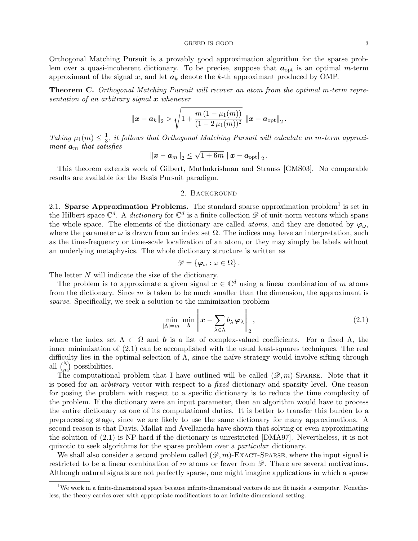Orthogonal Matching Pursuit is a provably good approximation algorithm for the sparse problem over a quasi-incoherent dictionary. To be precise, suppose that  $a_{opt}$  is an optimal m-term approximant of the signal  $x$ , and let  $a_k$  denote the k-th approximant produced by OMP.

Theorem C. Orthogonal Matching Pursuit will recover an atom from the optimal m-term representation of an arbitrary signal  $x$  whenever

$$
\|\boldsymbol{x}-\boldsymbol{a}_k\|_2 > \sqrt{1+\frac{m\,(1-\mu_1(m))}{(1-2\,\mu_1(m))^2}}\, \left\|\boldsymbol{x}-\boldsymbol{a}_{\text{opt}}\right\|_2.
$$

Taking  $\mu_1(m) \leq \frac{1}{3}$  $\frac{1}{3}$ , it follows that Orthogonal Matching Pursuit will calculate an m-term approximant  $a_m$  that satisfies √

$$
\left\|\boldsymbol{x}-\boldsymbol{a}_{m}\right\|_{2} \leq \sqrt{1+6m} \, \left\|\boldsymbol{x}-\boldsymbol{a}_{\rm opt}\right\|_{2}.
$$

This theorem extends work of Gilbert, Muthukrishnan and Strauss [GMS03]. No comparable results are available for the Basis Pursuit paradigm.

## 2. Background

2.1. Sparse Approximation Problems. The standard sparse approximation problem<sup>1</sup> is set in the Hilbert space  $\mathbb{C}^d$ . A dictionary for  $\mathbb{C}^d$  is a finite collection  $\mathscr{D}$  of unit-norm vectors which spans the whole space. The elements of the dictionary are called *atoms*, and they are denoted by  $\varphi_{\omega}$ , where the parameter  $\omega$  is drawn from an index set  $\Omega$ . The indices may have an interpretation, such as the time-frequency or time-scale localization of an atom, or they may simply be labels without an underlying metaphysics. The whole dictionary structure is written as

$$
\mathscr{D} = \{\varphi_\omega : \omega \in \Omega\}.
$$

The letter N will indicate the size of the dictionary.

The problem is to approximate a given signal  $x \in \mathbb{C}^d$  using a linear combination of m atoms from the dictionary. Since  $m$  is taken to be much smaller than the dimension, the approximant is sparse. Specifically, we seek a solution to the minimization problem

$$
\min_{|\Lambda|=m} \min_{\boldsymbol{b}} \left\| \boldsymbol{x} - \sum_{\lambda \in \Lambda} b_{\lambda} \boldsymbol{\varphi}_{\lambda} \right\|_{2}, \tag{2.1}
$$

where the index set  $\Lambda \subset \Omega$  and **b** is a list of complex-valued coefficients. For a fixed  $\Lambda$ , the inner minimization of  $(2.1)$  can be accomplished with the usual least-squares techniques. The real difficulty lies in the optimal selection of  $\Lambda$ , since the naïve strategy would involve sifting through all  $\binom{N}{m}$  possibilities.

The computational problem that I have outlined will be called  $(\mathscr{D}, m)$ -SPARSE. Note that it is posed for an *arbitrary* vector with respect to a *fixed* dictionary and sparsity level. One reason for posing the problem with respect to a specific dictionary is to reduce the time complexity of the problem. If the dictionary were an input parameter, then an algorithm would have to process the entire dictionary as one of its computational duties. It is better to transfer this burden to a preprocessing stage, since we are likely to use the same dictionary for many approximations. A second reason is that Davis, Mallat and Avellaneda have shown that solving or even approximating the solution of (2.1) is NP-hard if the dictionary is unrestricted [DMA97]. Nevertheless, it is not quixotic to seek algorithms for the sparse problem over a particular dictionary.

We shall also consider a second problem called  $(\mathscr{D}, m)$ -EXACT-SPARSE, where the input signal is restricted to be a linear combination of m atoms or fewer from  $\mathscr{D}$ . There are several motivations. Although natural signals are not perfectly sparse, one might imagine applications in which a sparse

<sup>&</sup>lt;sup>1</sup>We work in a finite-dimensional space because infinite-dimensional vectors do not fit inside a computer. Nonetheless, the theory carries over with appropriate modifications to an infinite-dimensional setting.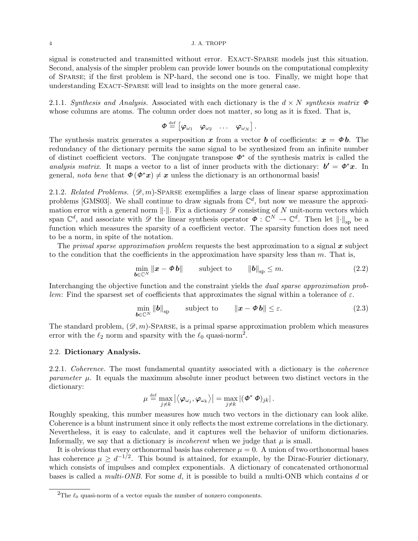#### 4 J. A. TROPP

signal is constructed and transmitted without error. EXACT-SPARSE models just this situation. Second, analysis of the simpler problem can provide lower bounds on the computational complexity of Sparse; if the first problem is NP-hard, the second one is too. Finally, we might hope that understanding EXACT-SPARSE will lead to insights on the more general case.

2.1.1. Synthesis and Analysis. Associated with each dictionary is the  $d \times N$  synthesis matrix  $\Phi$ whose columns are atoms. The column order does not matter, so long as it is fixed. That is,

$$
\boldsymbol{\phi} \stackrel{\text{def}}{=} \begin{bmatrix} \boldsymbol{\varphi}_{\omega_1} & \boldsymbol{\varphi}_{\omega_2} & \dots & \boldsymbol{\varphi}_{\omega_N} \end{bmatrix}.
$$

The synthesis matrix generates a superposition x from a vector b of coefficients:  $x = \phi b$ . The redundancy of the dictionary permits the same signal to be synthesized from an infinite number of distinct coefficient vectors. The conjugate transpose  $\phi^*$  of the synthesis matrix is called the analysis matrix. It maps a vector to a list of inner products with the dictionary:  $b' = \phi^* x$ . In general, nota bene that  $\Phi(\phi^*x) \neq x$  unless the dictionary is an orthonormal basis!

2.1.2. Related Problems.  $(\mathscr{D}, m)$ -SPARSE exemplifies a large class of linear sparse approximation problems [GMS03]. We shall continue to draw signals from  $\mathbb{C}^d$ , but now we measure the approximation error with a general norm  $\|\cdot\|$ . Fix a dictionary  $\mathscr D$  consisting of N unit-norm vectors which span  $\mathbb{C}^d$ , and associate with  $\mathscr{D}$  the linear synthesis operator  $\mathbf{\Phi}: \mathbb{C}^N \to \mathbb{C}^d$ . Then let  $\|\cdot\|_{\text{sp}}$  be a function which measures the sparsity of a coefficient vector. The sparsity function does not need to be a norm, in spite of the notation.

The primal sparse approximation problem requests the best approximation to a signal  $x$  subject to the condition that the coefficients in the approximation have sparsity less than  $m$ . That is,

$$
\min_{\boldsymbol{b}\in\mathbb{C}^N} \|\boldsymbol{x} - \boldsymbol{\phi}\,\boldsymbol{b}\| \qquad \text{subject to} \qquad \|\boldsymbol{b}\|_{\text{sp}} \leq m. \tag{2.2}
$$

Interchanging the objective function and the constraint yields the *dual sparse approximation prob*lem: Find the sparsest set of coefficients that approximates the signal within a tolerance of  $\varepsilon$ .

$$
\min_{\boldsymbol{b}\in\mathbb{C}^N} \|\boldsymbol{b}\|_{\text{sp}} \qquad \text{subject to} \qquad \|\boldsymbol{x}-\boldsymbol{\phi}\,\boldsymbol{b}\| \leq \varepsilon. \tag{2.3}
$$

The standard problem,  $(\mathscr{D}, m)$ -SPARSE, is a primal sparse approximation problem which measures error with the  $\ell_2$  norm and sparsity with the  $\ell_0$  quasi-norm<sup>2</sup>.

### 2.2. Dictionary Analysis.

2.2.1. Coherence. The most fundamental quantity associated with a dictionary is the *coherence* parameter  $\mu$ . It equals the maximum absolute inner product between two distinct vectors in the dictionary:

$$
\mu \stackrel{\text{\tiny def}}{=} \max_{j\neq k} \left|\left<\boldsymbol{\varphi}_{\omega_j},\boldsymbol{\varphi}_{\omega_k}\right>\right| = \max_{j\neq k} \left|(\boldsymbol{\varPhi}^* \, \boldsymbol{\varPhi})_{jk}\right|.
$$

Roughly speaking, this number measures how much two vectors in the dictionary can look alike. Coherence is a blunt instrument since it only reflects the most extreme correlations in the dictionary. Nevertheless, it is easy to calculate, and it captures well the behavior of uniform dictionaries. Informally, we say that a dictionary is *incoherent* when we judge that  $\mu$  is small.

It is obvious that every orthonormal basis has coherence  $\mu = 0$ . A union of two orthonormal bases has coherence  $\mu \geq d^{-1/2}$ . This bound is attained, for example, by the Dirac-Fourier dictionary, which consists of impulses and complex exponentials. A dictionary of concatenated orthonormal bases is called a *multi-ONB*. For some d, it is possible to build a multi-ONB which contains d or

<sup>&</sup>lt;sup>2</sup>The  $\ell_0$  quasi-norm of a vector equals the number of nonzero components.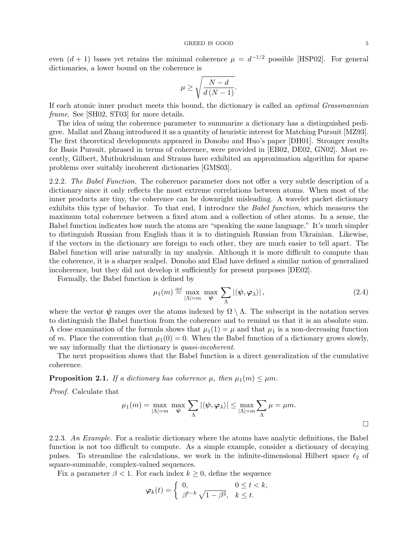even  $(d + 1)$  bases yet retains the minimal coherence  $\mu = d^{-1/2}$  possible [HSP02]. For general dictionaries, a lower bound on the coherence is

$$
\mu \ge \sqrt{\frac{N-d}{d\left(N-1\right)}}.
$$

If each atomic inner product meets this bound, the dictionary is called an optimal Grassmannian frame. See [SH02, ST03] for more details.

The idea of using the coherence parameter to summarize a dictionary has a distinguished pedigree. Mallat and Zhang introduced it as a quantity of heuristic interest for Matching Pursuit [MZ93]. The first theoretical developments appeared in Donoho and Huo's paper [DH01]. Stronger results for Basis Pursuit, phrased in terms of coherence, were provided in [EB02, DE02, GN02]. Most recently, Gilbert, Muthukrishnan and Strauss have exhibited an approximation algorithm for sparse problems over suitably incoherent dictionaries [GMS03].

2.2.2. The Babel Function. The coherence parameter does not offer a very subtle description of a dictionary since it only reflects the most extreme correlations between atoms. When most of the inner products are tiny, the coherence can be downright misleading. A wavelet packet dictionary exhibits this type of behavior. To that end, I introduce the Babel function, which measures the maximum total coherence between a fixed atom and a collection of other atoms. In a sense, the Babel function indicates how much the atoms are "speaking the same language." It's much simpler to distinguish Russian from English than it is to distinguish Russian from Ukrainian. Likewise, if the vectors in the dictionary are foreign to each other, they are much easier to tell apart. The Babel function will arise naturally in my analysis. Although it is more difficult to compute than the coherence, it is a sharper scalpel. Donoho and Elad have defined a similar notion of generalized incoherence, but they did not develop it sufficiently for present purposes [DE02].

Formally, the Babel function is defined by

$$
\mu_1(m) \stackrel{\text{def}}{=} \max_{|\Lambda| = m} \max_{\boldsymbol{\psi}} \sum_{\Lambda} |\langle \boldsymbol{\psi}, \boldsymbol{\varphi}_{\lambda} \rangle|, \tag{2.4}
$$

where the vector  $\psi$  ranges over the atoms indexed by  $\Omega \setminus \Lambda$ . The subscript in the notation serves to distinguish the Babel function from the coherence and to remind us that it is an absolute sum. A close examination of the formula shows that  $\mu_1(1) = \mu$  and that  $\mu_1$  is a non-decreasing function of m. Place the convention that  $\mu_1(0) = 0$ . When the Babel function of a dictionary grows slowly, we say informally that the dictionary is *quasi-incoherent*.

The next proposition shows that the Babel function is a direct generalization of the cumulative coherence.

**Proposition 2.1.** If a dictionary has coherence  $\mu$ , then  $\mu_1(m) \leq \mu m$ .

Proof. Calculate that

$$
\mu_1(m)=\max_{|\Lambda|=m}\;\max_{\boldsymbol{\psi}}\;\sum_{\Lambda}|\langle \boldsymbol{\psi},\boldsymbol{\varphi}_{\lambda}\rangle|\leq \max_{|\Lambda|=m}\sum_{\Lambda}\mu=\mu m.
$$

2.2.3. An Example. For a realistic dictionary where the atoms have analytic definitions, the Babel function is not too difficult to compute. As a simple example, consider a dictionary of decaying pulses. To streamline the calculations, we work in the infinite-dimensional Hilbert space  $\ell_2$  of square-summable, complex-valued sequences.

Fix a parameter  $\beta < 1$ . For each index  $k \geq 0$ , define the sequence

$$
\varphi_k(t) = \begin{cases} 0, & 0 \le t < k, \\ \beta^{t-k} \sqrt{1 - \beta^2}, & k \le t. \end{cases}
$$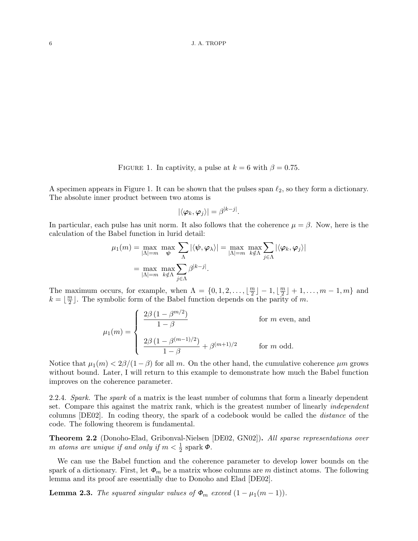FIGURE 1. In captivity, a pulse at  $k = 6$  with  $\beta = 0.75$ .

A specimen appears in Figure 1. It can be shown that the pulses span  $\ell_2$ , so they form a dictionary. The absolute inner product between two atoms is

$$
|\langle\pmb{\varphi}_k,\pmb{\varphi}_j\rangle|=\beta^{|k-j|}.
$$

In particular, each pulse has unit norm. It also follows that the coherence  $\mu = \beta$ . Now, here is the calculation of the Babel function in lurid detail:

$$
\mu_1(m) = \max_{|\Lambda| = m} \max_{\psi} \sum_{\Lambda} |\langle \psi, \varphi_{\lambda} \rangle| = \max_{|\Lambda| = m} \max_{k \notin \Lambda} \sum_{j \in \Lambda} |\langle \varphi_k, \varphi_j \rangle|
$$

$$
= \max_{|\Lambda| = m} \max_{k \notin \Lambda} \sum_{j \in \Lambda} \beta^{|k-j|}.
$$

The maximum occurs, for example, when  $\Lambda = \{0, 1, 2, \ldots, \lfloor \frac{m}{2} \rfloor \}$  $\lfloor \frac{m}{2} \rfloor - 1, \lfloor \frac{m}{2} \rfloor$  $\lfloor \frac{m}{2} \rfloor + 1, \ldots, m - 1, m$  and  $k = \left\lfloor \frac{m}{2} \right\rfloor$  $\frac{m}{2}$ . The symbolic form of the Babel function depends on the parity of m.

$$
\mu_1(m) = \begin{cases} \frac{2\beta (1 - \beta^{m/2})}{1 - \beta} & \text{for } m \text{ even, and} \\ \frac{2\beta (1 - \beta^{(m-1)/2})}{1 - \beta} + \beta^{(m+1)/2} & \text{for } m \text{ odd.} \end{cases}
$$

Notice that  $\mu_1(m) < 2\beta/(1-\beta)$  for all m. On the other hand, the cumulative coherence  $\mu m$  grows without bound. Later, I will return to this example to demonstrate how much the Babel function improves on the coherence parameter.

2.2.4. Spark. The spark of a matrix is the least number of columns that form a linearly dependent set. Compare this against the matrix rank, which is the greatest number of linearly *independent* columns [DE02]. In coding theory, the spark of a codebook would be called the distance of the code. The following theorem is fundamental.

Theorem 2.2 (Donoho-Elad, Gribonval-Nielsen [DE02, GN02]). All sparse representations over m atoms are unique if and only if  $m < \frac{1}{2}$  spark  $\Phi$ .

We can use the Babel function and the coherence parameter to develop lower bounds on the spark of a dictionary. First, let  $\Phi_m$  be a matrix whose columns are m distinct atoms. The following lemma and its proof are essentially due to Donoho and Elad [DE02].

**Lemma 2.3.** The squared singular values of  $\Phi_m$  exceed  $(1 - \mu_1(m - 1))$ .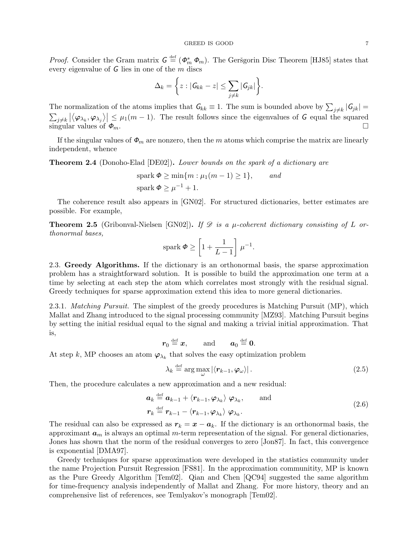#### GREED IS GOOD 7

*Proof.* Consider the Gram matrix  $G \stackrel{\text{def}}{=} (\phi_m^*, \phi_m)$ . The Geršgorin Disc Theorem [HJ85] states that every eigenvalue of  $G$  lies in one of the  $m$  discs

$$
\Delta_k = \bigg\{ z : |G_{kk} - z| \leq \sum_{j \neq k} |G_{jk}|\bigg\}.
$$

The normalization of the atoms implies that  $G_{kk} \equiv 1$ . The sum is bounded above by  $\sum_{j\neq k} |G_{jk}| =$  $\sum_{j\neq k} |\langle \varphi_{\lambda_k}, \varphi_{\lambda_j} \rangle| \leq \mu_1(m-1)$ . The result follows since the eigenvalues of G equal the squared  $\frac{1}{\sin \theta}$  values of  $\phi_m$ .

If the singular values of  $\Phi_m$  are nonzero, then the m atoms which comprise the matrix are linearly independent, whence

Theorem 2.4 (Donoho-Elad [DE02]). Lower bounds on the spark of a dictionary are

$$
spark \Phi \ge \min\{m : \mu_1(m-1) \ge 1\}, \quad and
$$
  
spark  $\Phi \ge \mu^{-1} + 1$ .

The coherence result also appears in [GN02]. For structured dictionaries, better estimates are possible. For example,

**Theorem 2.5** (Gribonval-Nielsen [GN02]). If  $\mathscr D$  is a  $\mu$ -coherent dictionary consisting of L orthonormal bases,

$$
\text{spark } \Phi \ge \left[1 + \frac{1}{L-1}\right] \mu^{-1}.
$$

2.3. Greedy Algorithms. If the dictionary is an orthonormal basis, the sparse approximation problem has a straightforward solution. It is possible to build the approximation one term at a time by selecting at each step the atom which correlates most strongly with the residual signal. Greedy techniques for sparse approximation extend this idea to more general dictionaries.

2.3.1. *Matching Pursuit.* The simplest of the greedy procedures is Matching Pursuit (MP), which Mallat and Zhang introduced to the signal processing community [MZ93]. Matching Pursuit begins by setting the initial residual equal to the signal and making a trivial initial approximation. That is,

$$
\boldsymbol{r}_0\stackrel{\text{\tiny def}}{=} \boldsymbol{x},\qquad \text{and}\qquad \boldsymbol{a}_0\stackrel{\text{\tiny def}}{=} \boldsymbol{0}.
$$

At step k, MP chooses an atom  $\varphi_{\lambda_k}$  that solves the easy optimization problem

$$
\lambda_k \stackrel{\text{def}}{=} \arg \max_{\omega} |\langle \mathbf{r}_{k-1}, \boldsymbol{\varphi}_{\omega} \rangle|.
$$
 (2.5)

Then, the procedure calculates a new approximation and a new residual:

$$
\mathbf{a}_{k} \stackrel{\text{def}}{=} \mathbf{a}_{k-1} + \langle \mathbf{r}_{k-1}, \boldsymbol{\varphi}_{\lambda_{k}} \rangle \ \boldsymbol{\varphi}_{\lambda_{k}}, \qquad \text{and} \qquad (2.6)
$$
\n
$$
\mathbf{r}_{k} \stackrel{\text{def}}{=} \mathbf{r}_{k-1} - \langle \mathbf{r}_{k-1}, \boldsymbol{\varphi}_{\lambda_{k}} \rangle \ \boldsymbol{\varphi}_{\lambda_{k}}.
$$

The residual can also be expressed as  $r_k = x - a_k$ . If the dictionary is an orthonormal basis, the approximant  $a_m$  is always an optimal m-term representation of the signal. For general dictionaries, Jones has shown that the norm of the residual converges to zero [Jon87]. In fact, this convergence is exponential [DMA97].

Greedy techniques for sparse approximation were developed in the statistics community under the name Projection Pursuit Regression [FS81]. In the approximation communitity, MP is known as the Pure Greedy Algorithm [Tem02]. Qian and Chen [QC94] suggested the same algorithm for time-frequency analysis independently of Mallat and Zhang. For more history, theory and an comprehensive list of references, see Temlyakov's monograph [Tem02].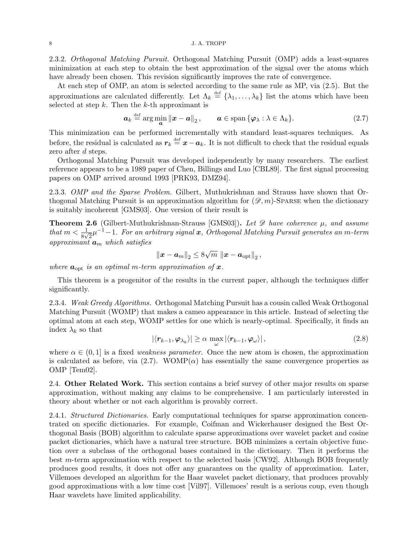#### 8 J.A. TROPP

2.3.2. Orthogonal Matching Pursuit. Orthogonal Matching Pursuit (OMP) adds a least-squares minimization at each step to obtain the best approximation of the signal over the atoms which have already been chosen. This revision significantly improves the rate of convergence.

At each step of OMP, an atom is selected according to the same rule as MP, via (2.5). But the approximations are calculated differently. Let  $\Lambda_k \stackrel{\text{def}}{=} {\{\lambda_1,\ldots,\lambda_k\}}$  list the atoms which have been selected at step  $k$ . Then the  $k$ -th approximant is

$$
\boldsymbol{a}_k \stackrel{\text{def}}{=} \arg \min_{\boldsymbol{a}} \|\boldsymbol{x} - \boldsymbol{a}\|_2, \qquad \boldsymbol{a} \in \text{span}\{\boldsymbol{\varphi}_\lambda : \lambda \in \Lambda_k\}. \tag{2.7}
$$

This minimization can be performed incrementally with standard least-squares techniques. As before, the residual is calculated as  $r_k \stackrel{\text{def}}{=} x - a_k$ . It is not difficult to check that the residual equals zero after d steps.

Orthogonal Matching Pursuit was developed independently by many researchers. The earliest reference appears to be a 1989 paper of Chen, Billings and Luo [CBL89]. The first signal processing papers on OMP arrived around 1993 [PRK93, DMZ94].

2.3.3. OMP and the Sparse Problem. Gilbert, Muthukrishnan and Strauss have shown that Orthogonal Matching Pursuit is an approximation algorithm for  $(\mathscr{D}, m)$ -Sparse when the dictionary is suitably incoherent [GMS03]. One version of their result is

**Theorem 2.6** (Gilbert-Muthukrishnan-Strauss [GMS03]). Let  $\mathscr{D}$  have coherence  $\mu$ , and assume that  $m < \frac{1}{8\sqrt{2}}\mu^{-1} - 1$ . For an arbitrary signal  $\bm{x}$ , Orthogonal Matching Pursuit generates an m-term approximant  $a_m$  which satisfies

$$
\left\|\boldsymbol{x}-\boldsymbol{a}_{m}\right\|_{2} \leq 8\sqrt{m}\,\left\|\boldsymbol{x}-\boldsymbol{a}_{\text{opt}}\right\|_{2},
$$

where  $a_{\text{opt}}$  is an optimal m-term approximation of x.

This theorem is a progenitor of the results in the current paper, although the techniques differ significantly.

2.3.4. Weak Greedy Algorithms. Orthogonal Matching Pursuit has a cousin called Weak Orthogonal Matching Pursuit (WOMP) that makes a cameo appearance in this article. Instead of selecting the optimal atom at each step, WOMP settles for one which is nearly-optimal. Specifically, it finds an index  $\lambda_k$  so that

$$
|\langle r_{k-1}, \varphi_{\lambda_k} \rangle| \geq \alpha \max_{\omega} |\langle r_{k-1}, \varphi_{\omega} \rangle|, \qquad (2.8)
$$

where  $\alpha \in (0,1]$  is a fixed *weakness parameter*. Once the new atom is chosen, the approximation is calculated as before, via (2.7). WOMP( $\alpha$ ) has essentially the same convergence properties as OMP [Tem02].

2.4. Other Related Work. This section contains a brief survey of other major results on sparse approximation, without making any claims to be comprehensive. I am particularly interested in theory about whether or not each algorithm is provably correct.

2.4.1. Structured Dictionaries. Early computational techniques for sparse approximation concentrated on specific dictionaries. For example, Coifman and Wickerhauser designed the Best Orthogonal Basis (BOB) algorithm to calculate sparse approximations over wavelet packet and cosine packet dictionaries, which have a natural tree structure. BOB minimizes a certain objective function over a subclass of the orthogonal bases contained in the dictionary. Then it performs the best m-term approximation with respect to the selected basis [CW92]. Although BOB frequently produces good results, it does not offer any guarantees on the quality of approximation. Later, Villemoes developed an algorithm for the Haar wavelet packet dictionary, that produces provably good approximations with a low time cost [Vil97]. Villemoes' result is a serious coup, even though Haar wavelets have limited applicability.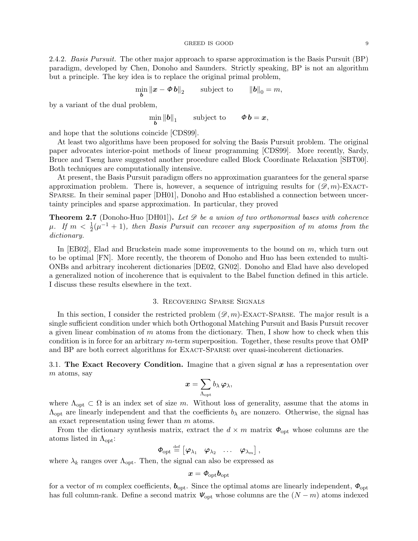2.4.2. Basis Pursuit. The other major approach to sparse approximation is the Basis Pursuit (BP) paradigm, developed by Chen, Donoho and Saunders. Strictly speaking, BP is not an algorithm but a principle. The key idea is to replace the original primal problem,

 $\min_{\boldsymbol{b}} \|\boldsymbol{x} - \boldsymbol{\phi}\,\boldsymbol{b}\|_2$  subject to  $\|\boldsymbol{b}\|_0 = m$ ,

by a variant of the dual problem,

 $\min_{\bm b} \left\| \bm b \right\|_1$ subject to  $\qquad \Phi \mathbf{b} = \mathbf{x},$ 

and hope that the solutions coincide [CDS99].

At least two algorithms have been proposed for solving the Basis Pursuit problem. The original paper advocates interior-point methods of linear programming [CDS99]. More recently, Sardy, Bruce and Tseng have suggested another procedure called Block Coordinate Relaxation [SBT00]. Both techniques are computationally intensive.

At present, the Basis Pursuit paradigm offers no approximation guarantees for the general sparse approximation problem. There is, however, a sequence of intriguing results for  $(\mathscr{D}, m)$ -EXACT-Sparse. In their seminal paper [DH01], Donoho and Huo established a connection between uncertainty principles and sparse approximation. In particular, they proved

**Theorem 2.7** (Donoho-Huo [DH01]). Let  $\mathscr D$  be a union of two orthonormal bases with coherence  $\mu$ . If  $m < \frac{1}{2}(\mu^{-1} + 1)$ , then Basis Pursuit can recover any superposition of m atoms from the dictionary.

In [EB02], Elad and Bruckstein made some improvements to the bound on m, which turn out to be optimal [FN]. More recently, the theorem of Donoho and Huo has been extended to multi-ONBs and arbitrary incoherent dictionaries [DE02, GN02]. Donoho and Elad have also developed a generalized notion of incoherence that is equivalent to the Babel function defined in this article. I discuss these results elsewhere in the text.

## 3. Recovering Sparse Signals

In this section, I consider the restricted problem  $(\mathscr{D}, m)$ -EXACT-SPARSE. The major result is a single sufficient condition under which both Orthogonal Matching Pursuit and Basis Pursuit recover a given linear combination of  $m$  atoms from the dictionary. Then, I show how to check when this condition is in force for an arbitrary m-term superposition. Together, these results prove that OMP and BP are both correct algorithms for Exact-Sparse over quasi-incoherent dictionaries.

3.1. The Exact Recovery Condition. Imagine that a given signal  $x$  has a representation over m atoms, say

$$
\boldsymbol{x} = \sum_{\Lambda_{\mathrm{opt}}} b_{\lambda} \, \boldsymbol{\varphi}_{\lambda},
$$

where  $\Lambda_{\text{opt}} \subset \Omega$  is an index set of size m. Without loss of generality, assume that the atoms in  $\Lambda_{\text{opt}}$  are linearly independent and that the coefficients  $b_{\lambda}$  are nonzero. Otherwise, the signal has an exact representation using fewer than m atoms.

From the dictionary synthesis matrix, extract the  $d \times m$  matrix  $\Phi_{\text{opt}}$  whose columns are the atoms listed in  $\Lambda_{\text{opt}}$ :

$$
\boldsymbol{\phi}_{\text{opt}} \stackrel{\text{def}}{=} \begin{bmatrix} \boldsymbol{\varphi}_{\lambda_1} & \boldsymbol{\varphi}_{\lambda_2} & \dots & \boldsymbol{\varphi}_{\lambda_m} \end{bmatrix},
$$

where  $\lambda_k$  ranges over  $\Lambda_{\text{opt}}$ . Then, the signal can also be expressed as

$$
\boldsymbol{x} = \boldsymbol{\phi}_{\textrm{opt}} \boldsymbol{b}_{\textrm{opt}}
$$

for a vector of m complex coefficients,  $b_{\text{opt}}$ . Since the optimal atoms are linearly independent,  $\Phi_{\text{opt}}$ has full column-rank. Define a second matrix  $\Psi_{\text{opt}}$  whose columns are the  $(N-m)$  atoms indexed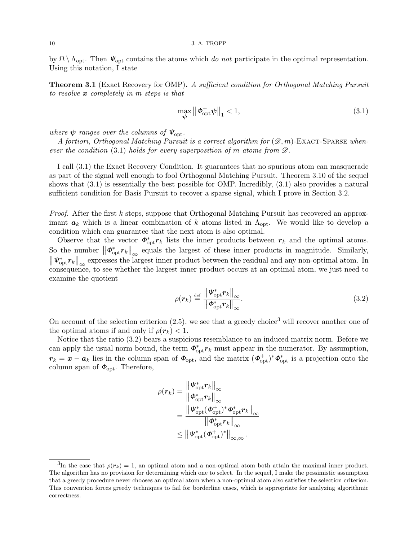by  $\Omega \setminus \Lambda_{\text{opt}}$ . Then  $\Psi_{\text{opt}}$  contains the atoms which do not participate in the optimal representation. Using this notation, I state

**Theorem 3.1** (Exact Recovery for OMP). A sufficient condition for Orthogonal Matching Pursuit to resolve  $x$  completely in m steps is that

$$
\max_{\boldsymbol{\psi}} \left\| \boldsymbol{\phi}_{\text{opt}}^+ \boldsymbol{\psi} \right\|_1 < 1,\tag{3.1}
$$

where  $\psi$  ranges over the columns of  $\Psi_{\text{opt}}$ .

A fortiori, Orthogonal Matching Pursuit is a correct algorithm for  $(\mathscr{D}, m)$ -EXACT-SPARSE whenever the condition (3.1) holds for every superposition of m atoms from  $\mathscr{D}$ .

I call (3.1) the Exact Recovery Condition. It guarantees that no spurious atom can masquerade as part of the signal well enough to fool Orthogonal Matching Pursuit. Theorem 3.10 of the sequel shows that (3.1) is essentially the best possible for OMP. Incredibly, (3.1) also provides a natural sufficient condition for Basis Pursuit to recover a sparse signal, which I prove in Section 3.2.

Proof. After the first k steps, suppose that Orthogonal Matching Pursuit has recovered an approximant  $a_k$  which is a linear combination of k atoms listed in  $\Lambda_{\text{opt}}$ . We would like to develop a condition which can guarantee that the next atom is also optimal.

Observe that the vector  $\phi_{\text{opt}}^* r_k$  lists the inner products between  $r_k$  and the optimal atoms. So the number  $\|\boldsymbol{\phi}_{\text{opt}}^* \boldsymbol{r}_k\|_{\infty}$  equals the largest of these inner products in magnitude. Similarly,  $\|\Psi_{\text{opt}}^* r_k\|_{\infty}$  expresses the largest inner product between the residual and any non-optimal atom. In consequence, to see whether the largest inner product occurs at an optimal atom, we just need to examine the quotient

$$
\rho(\boldsymbol{r}_k) \stackrel{\text{def}}{=} \frac{\left\| \boldsymbol{\varPsi}_{\text{opt}}^* \boldsymbol{r}_k \right\|_{\infty}}{\left\| \boldsymbol{\varPhi}_{\text{opt}}^* \boldsymbol{r}_k \right\|_{\infty}}.
$$
\n(3.2)

On account of the selection criterion  $(2.5)$ , we see that a greedy choice<sup>3</sup> will recover another one of the optimal atoms if and only if  $\rho(\mathbf{r}_k) < 1$ .

Notice that the ratio (3.2) bears a suspicious resemblance to an induced matrix norm. Before we can apply the usual norm bound, the term  $\phi_{\text{opt}}^* r_k$  must appear in the numerator. By assumption,  $r_k = x - a_k$  lies in the column span of  $\Phi_{\text{opt}}$ , and the matrix  $(\Phi_{\text{opt}}^+) ^* \Phi_{\text{opt}}^*$  is a projection onto the column span of  $\Phi_{\text{opt}}$ . Therefore,

$$
\begin{aligned} \rho(\bm{r}_k) &= \frac{\left\| \bm{\mathit{W}}_{\mathrm{opt}}^* \bm{r}_k \right\|_\infty}{\left\| \bm{\phi}_{\mathrm{opt}}^* \bm{r}_k \right\|_\infty} \\ &= \frac{\left\| \bm{\mathit{W}}_{\mathrm{opt}}^* (\bm{\phi}_{\mathrm{opt}}^+) ^* \bm{\phi}_{\mathrm{opt}}^* \bm{r}_k \right\|_\infty}{\left\| \bm{\phi}_{\mathrm{opt}}^* \bm{r}_k \right\|_\infty} \\ &\leq \left\| \bm{\mathit{W}}_{\mathrm{opt}}^* (\bm{\phi}_{\mathrm{opt}}^+) ^* \right\|_{\infty,\infty}. \end{aligned}
$$

<sup>&</sup>lt;sup>3</sup>In the case that  $\rho(r_k) = 1$ , an optimal atom and a non-optimal atom both attain the maximal inner product. The algorithm has no provision for determining which one to select. In the sequel, I make the pessimistic assumption that a greedy procedure never chooses an optimal atom when a non-optimal atom also satisfies the selection criterion. This convention forces greedy techniques to fail for borderline cases, which is appropriate for analyzing algorithmic correctness.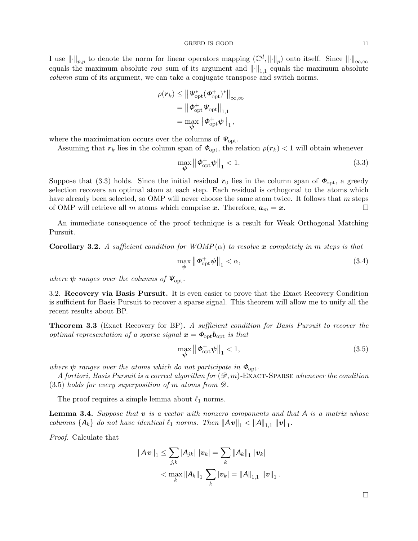I use  $\lVert \cdot \rVert_{p,p}$  to denote the norm for linear operators mapping  $(\mathbb{C}^d, \lVert \cdot \rVert_p)$  onto itself. Since  $\lVert \cdot \rVert_{\infty,\infty}$ equals the maximum absolute row sum of its argument and  $\left\|\cdot\right\|_{1,1}$  equals the maximum absolute column sum of its argument, we can take a conjugate transpose and switch norms.

$$
\begin{aligned} \rho(\boldsymbol{r}_k) &\leq \big\|\boldsymbol{\varPsi}_{\text{opt}}^*(\boldsymbol{\varPhi}_{\text{opt}}^+)^*\big\|_{\infty,\infty} \\ &= \big\|\boldsymbol{\varPhi}_{\text{opt}}^+\boldsymbol{\varPsi}_{\text{opt}}\big\|_{1,1} \\ &= \max_{\boldsymbol{\psi}}\big\|\boldsymbol{\varPhi}_{\text{opt}}^+\boldsymbol{\psi}\big\|_{1}, \end{aligned}
$$

where the maximimation occurs over the columns of  $\mathbf{\Psi}_{\text{opt}}$ .

Assuming that  $r_k$  lies in the column span of  $\phi_{\text{opt}}$ , the relation  $\rho(r_k)$  < 1 will obtain whenever

$$
\max_{\boldsymbol{\psi}} \left\| \boldsymbol{\phi}_{\text{opt}}^{\mathcal{+}} \boldsymbol{\psi} \right\|_{1} < 1. \tag{3.3}
$$

Suppose that (3.3) holds. Since the initial residual  $r_0$  lies in the column span of  $\phi_{\text{opt}}$ , a greedy selection recovers an optimal atom at each step. Each residual is orthogonal to the atoms which have already been selected, so OMP will never choose the same atom twice. It follows that m steps of OMP will retrieve all m atoms which comprise x. Therefore,  $a_m = x$ .

An immediate consequence of the proof technique is a result for Weak Orthogonal Matching Pursuit.

**Corollary 3.2.** A sufficient condition for  $WOMP(\alpha)$  to resolve x completely in m steps is that

$$
\max_{\boldsymbol{\psi}} \left\| \boldsymbol{\phi}_{\text{opt}}^{\dagger} \boldsymbol{\psi} \right\|_{1} < \alpha,\tag{3.4}
$$

where  $\psi$  ranges over the columns of  $\Psi_{\text{opt}}$ .

3.2. Recovery via Basis Pursuit. It is even easier to prove that the Exact Recovery Condition is sufficient for Basis Pursuit to recover a sparse signal. This theorem will allow me to unify all the recent results about BP.

**Theorem 3.3** (Exact Recovery for BP). A sufficient condition for Basis Pursuit to recover the optimal representation of a sparse signal  $x = \phi_{\text{opt}} b_{\text{opt}}$  is that

$$
\max_{\boldsymbol{\psi}} \left\| \boldsymbol{\phi}_{\text{opt}}^+ \boldsymbol{\psi} \right\|_1 < 1,\tag{3.5}
$$

where  $\psi$  ranges over the atoms which do not participate in  $\Phi_{\text{opt}}$ .

A fortiori, Basis Pursuit is a correct algorithm for  $(\mathscr{D}, m)$ -EXACT-SPARSE whenever the condition  $(3.5)$  holds for every superposition of m atoms from  $\mathscr{D}$ .

The proof requires a simple lemma about  $\ell_1$  norms.

**Lemma 3.4.** Suppose that  $v$  is a vector with nonzero components and that  $A$  is a matrix whose columns  $\{A_k\}$  do not have identical  $\ell_1$  norms. Then  $||A v||_1 < ||A||_{1,1} ||v||_1$ .

Proof. Calculate that

$$
\begin{aligned} \left\|A\,\bm{v}\right\|_1 &\leq \sum_{j,k} |A_{jk}| \, \left|\bm{v}_k\right| = \sum_k \left\|A_k\right\|_1 \, \left|\bm{v}_k\right| \\ &< \max_k \left\|A_k\right\|_1 \, \sum_k |\bm{v}_k| = \left\|A\right\|_{1,1} \, \left\|\bm{v}\right\|_1. \end{aligned}
$$

 $\Box$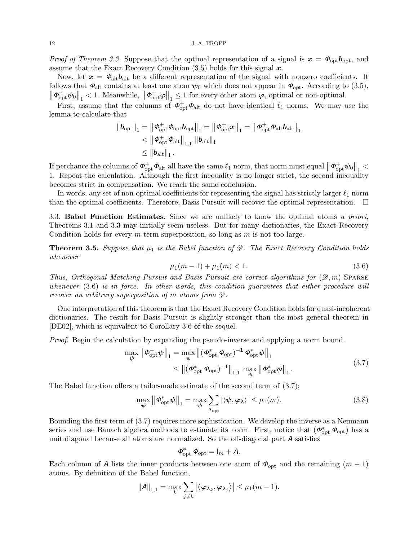*Proof of Theorem 3.3.* Suppose that the optimal representation of a signal is  $x = \phi_{\text{opt}} b_{\text{opt}}$ , and assume that the Exact Recovery Condition  $(3.5)$  holds for this signal  $x$ .

Now, let  $x = \phi_{\text{alt}}b_{\text{alt}}$  be a different representation of the signal with nonzero coefficients. It follows that  $\Phi_{\text{alt}}$  contains at least one atom  $\psi_0$  which does not appear in  $\Phi_{\text{opt}}$ . According to (3.5),  $\left\Vert \mathbf{\Phi}_{\mathrm{opt}}^{\mathrm{+}}\psi_{0}\right\Vert _{1}\leq1$  Meanwhile,  $\left\Vert \mathbf{\Phi}_{\mathrm{opt}}^{\mathrm{+}}\varphi\right\Vert _{1}\leq1$  for every other atom  $\varphi$ , optimal or non-optimal.

First, assume that the columns of  $\phi_{\rm opt}^+ \phi_{\rm alt}$  do not have identical  $\ell_1$  norms. We may use the lemma to calculate that

$$
\begin{aligned} \left\| \bm{b}_{\mathrm{opt}} \right\|_1 &= \left\| \bm{\phi}_{\mathrm{opt}}^+ \bm{\phi}_{\mathrm{opt}} \bm{b}_{\mathrm{opt}} \right\|_1 = \left\| \bm{\phi}_{\mathrm{opt}}^+ \bm{x} \right\|_1 = \left\| \bm{\phi}_{\mathrm{opt}}^+ \bm{\phi}_{\mathrm{alt}} \bm{b}_{\mathrm{alt}} \right\|_1 \\ &< \left\| \bm{\phi}_{\mathrm{opt}}^+ \bm{\phi}_{\mathrm{alt}} \right\|_{1,1} \left\| \bm{b}_{\mathrm{alt}} \right\|_1 \\ &\leq \left\| \bm{b}_{\mathrm{alt}} \right\|_1. \end{aligned}
$$

If perchance the columns of  $\boldsymbol{\phi}_{\text{opt}}^+ \boldsymbol{\phi}_{\text{alt}}$  all have the same  $\ell_1$  norm, that norm must equal  $\left\| \boldsymbol{\phi}_{\text{opt}}^+ \boldsymbol{\psi}_0 \right\|_1 <$ 1. Repeat the calculation. Although the first inequality is no longer strict, the second inequality becomes strict in compensation. We reach the same conclusion.

In words, any set of non-optimal coefficients for representing the signal has strictly larger  $\ell_1$  norm than the optimal coefficients. Therefore, Basis Pursuit will recover the optimal representation.  $\Box$ 

3.3. **Babel Function Estimates.** Since we are unlikely to know the optimal atoms a priori, Theorems 3.1 and 3.3 may initially seem useless. But for many dictionaries, the Exact Recovery Condition holds for every  $m$ -term superposition, so long as  $m$  is not too large.

**Theorem 3.5.** Suppose that  $\mu_1$  is the Babel function of  $\mathscr{D}$ . The Exact Recovery Condition holds whenever

$$
\mu_1(m-1) + \mu_1(m) < 1. \tag{3.6}
$$

Thus, Orthogonal Matching Pursuit and Basis Pursuit are correct algorithms for  $(\mathscr{D}, m)$ -Sparse whenever (3.6) is in force. In other words, this condition guarantees that either procedure will recover an arbitrary superposition of m atoms from  $\mathscr{D}$ .

One interpretation of this theorem is that the Exact Recovery Condition holds for quasi-incoherent dictionaries. The result for Basis Pursuit is slightly stronger than the most general theorem in [DE02], which is equivalent to Corollary 3.6 of the sequel.

Proof. Begin the calculation by expanding the pseudo-inverse and applying a norm bound.

$$
\max_{\psi} \left\| \boldsymbol{\Phi}_{\text{opt}}^{\text{+}} \boldsymbol{\psi} \right\|_{1} = \max_{\psi} \left\| (\boldsymbol{\Phi}_{\text{opt}}^{*} \boldsymbol{\Phi}_{\text{opt}})^{-1} \boldsymbol{\Phi}_{\text{opt}}^{*} \boldsymbol{\psi} \right\|_{1} \n\leq \| (\boldsymbol{\Phi}_{\text{opt}}^{*} \boldsymbol{\Phi}_{\text{opt}})^{-1} \|_{1,1} \max_{\psi} \left\| \boldsymbol{\Phi}_{\text{opt}}^{*} \boldsymbol{\psi} \right\|_{1}.
$$
\n(3.7)

The Babel function offers a tailor-made estimate of the second term of (3.7);

$$
\max_{\boldsymbol{\psi}} \left\| \boldsymbol{\Phi}_{\text{opt}}^* \boldsymbol{\psi} \right\|_1 = \max_{\boldsymbol{\psi}} \sum_{\Lambda_{\text{opt}}} |\langle \boldsymbol{\psi}, \boldsymbol{\varphi}_{\lambda} \rangle| \le \mu_1(m). \tag{3.8}
$$

Bounding the first term of (3.7) requires more sophistication. We develop the inverse as a Neumann series and use Banach algebra methods to estimate its norm. First, notice that  $(\phi_{opt}^* \phi_{opt})$  has a unit diagonal because all atoms are normalized. So the off-diagonal part A satisfies

$$
\Phi_{\rm opt}^* \ \Phi_{\rm opt} = I_m + A.
$$

Each column of A lists the inner products between one atom of  $\Phi_{opt}$  and the remaining  $(m-1)$ atoms. By definition of the Babel function,

$$
||A||_{1,1} = \max_{k} \sum_{j \neq k} |\langle \varphi_{\lambda_k}, \varphi_{\lambda_j} \rangle| \leq \mu_1(m-1).
$$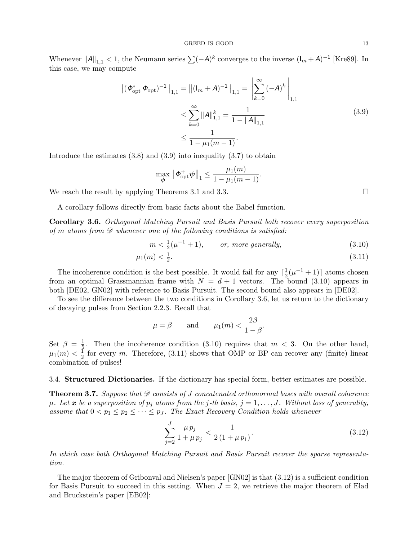Whenever  $||A||_{1,1} < 1$ , the Neumann series  $\sum (-A)^k$  converges to the inverse  $(\mathsf{I}_m + A)^{-1}$  [Kre89]. In this case, we may compute

$$
\left\| (\phi_{\text{opt}}^* \ \phi_{\text{opt}})^{-1} \right\|_{1,1} = \left\| (I_m + A)^{-1} \right\|_{1,1} = \left\| \sum_{k=0}^{\infty} (-A)^k \right\|_{1,1}
$$
  

$$
\leq \sum_{k=0}^{\infty} \|A\|_{1,1}^k = \frac{1}{1 - \|A\|_{1,1}}
$$
  

$$
\leq \frac{1}{1 - \mu_1(m - 1)}.
$$
 (3.9)

 $\mathbf{r}$ 

Introduce the estimates  $(3.8)$  and  $(3.9)$  into inequality  $(3.7)$  to obtain

$$
\max_{\boldsymbol{\psi}} \left\| \boldsymbol{\phi}_{\text{opt}}^{\mathbf{+}} \boldsymbol{\psi} \right\|_1 \leq \frac{\mu_1(m)}{1 - \mu_1(m-1)}.
$$

We reach the result by applying Theorems 3.1 and 3.3.

A corollary follows directly from basic facts about the Babel function.

Corollary 3.6. Orthogonal Matching Pursuit and Basis Pursuit both recover every superposition of m atoms from  $\mathscr D$  whenever one of the following conditions is satisfied:

$$
m < \frac{1}{2}(\mu^{-1} + 1), \qquad \text{or, more generally,} \tag{3.10}
$$

$$
\mu_1(m) < \frac{1}{2}.\tag{3.11}
$$

The incoherence condition is the best possible. It would fail for any  $\lceil \frac{1}{2} \rceil$  $\frac{1}{2}(\mu^{-1}+1)$  atoms chosen from an optimal Grassmannian frame with  $N = d + 1$  vectors. The bound (3.10) appears in both [DE02, GN02] with reference to Basis Pursuit. The second bound also appears in [DE02].

To see the difference between the two conditions in Corollary 3.6, let us return to the dictionary of decaying pulses from Section 2.2.3. Recall that

$$
\mu = \beta
$$
 and  $\mu_1(m) < \frac{2\beta}{1-\beta}$ .

Set  $\beta = \frac{1}{5}$  $\frac{1}{5}$ . Then the incoherence condition (3.10) requires that  $m < 3$ . On the other hand,  $\mu_1(m)<\frac{1}{2}$  $\frac{1}{2}$  for every m. Therefore, (3.11) shows that OMP or BP can recover any (finite) linear combination of pulses!

3.4. Structured Dictionaries. If the dictionary has special form, better estimates are possible.

**Theorem 3.7.** Suppose that  $\mathscr D$  consists of J concatenated orthonormal bases with overall coherence  $\mu$ . Let x be a superposition of  $p_i$  atoms from the j-th basis,  $j = 1, \ldots, J$ . Without loss of generality, assume that  $0 < p_1 \leq p_2 \leq \cdots \leq p_J$ . The Exact Recovery Condition holds whenever

$$
\sum_{j=2}^{J} \frac{\mu p_j}{1 + \mu p_j} < \frac{1}{2\left(1 + \mu p_1\right)}.\tag{3.12}
$$

In which case both Orthogonal Matching Pursuit and Basis Pursuit recover the sparse representation.

The major theorem of Gribonval and Nielsen's paper [GN02] is that (3.12) is a sufficient condition for Basis Pursuit to succeed in this setting. When  $J = 2$ , we retrieve the major theorem of Elad and Bruckstein's paper [EB02]: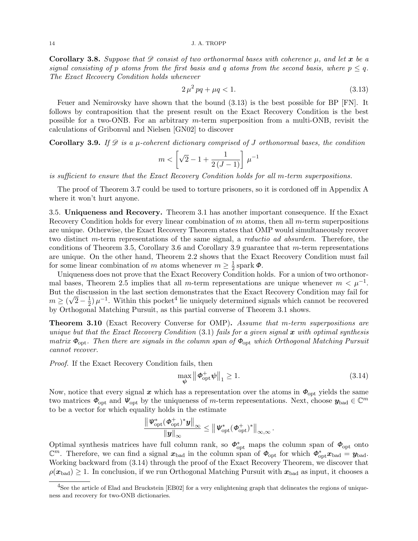**Corollary 3.8.** Suppose that  $\mathscr D$  consist of two orthonormal bases with coherence  $\mu$ , and let x be a signal consisting of p atoms from the first basis and q atoms from the second basis, where  $p \leq q$ . The Exact Recovery Condition holds whenever

$$
2\,\mu^2\,pq + \mu q < 1. \tag{3.13}
$$

Feuer and Nemirovsky have shown that the bound (3.13) is the best possible for BP [FN]. It follows by contraposition that the present result on the Exact Recovery Condition is the best possible for a two-ONB. For an arbitrary  $m$ -term superposition from a multi-ONB, revisit the calculations of Gribonval and Nielsen [GN02] to discover

## **Corollary 3.9.** If  $\mathscr D$  is a  $\mu$ -coherent dictionary comprised of J orthonormal bases, the condition

$$
m < \left[ \sqrt{2} - 1 + \frac{1}{2\left( J - 1 \right)} \right] \, \mu^{-1}
$$

is sufficient to ensure that the Exact Recovery Condition holds for all m-term superpositions.

The proof of Theorem 3.7 could be used to torture prisoners, so it is cordoned off in Appendix A where it won't hurt anyone.

3.5. Uniqueness and Recovery. Theorem 3.1 has another important consequence. If the Exact Recovery Condition holds for every linear combination of  $m$  atoms, then all  $m$ -term superpositions are unique. Otherwise, the Exact Recovery Theorem states that OMP would simultaneously recover two distinct m-term representations of the same signal, a reductio ad absurdem. Therefore, the conditions of Theorem 3.5, Corollary 3.6 and Corollary 3.9 guarantee that m-term representations are unique. On the other hand, Theorem 2.2 shows that the Exact Recovery Condition must fail for some linear combination of m atoms whenever  $m \geq \frac{1}{2}$  $\frac{1}{2}$  spark  $\phi$ .

Uniqueness does not prove that the Exact Recovery Condition holds. For a union of two orthonormal bases, Theorem 2.5 implies that all m-term representations are unique whenever  $m < \mu^{-1}$ . But the discussion in the last section demonstrates that the Exact Recovery Condition may fail for √  $m \geq (\sqrt{2}-\frac{1}{2})$  $\frac{1}{2}$ )  $\mu^{-1}$ . Within this pocket<sup>4</sup> lie uniquely determined signals which cannot be recovered by Orthogonal Matching Pursuit, as this partial converse of Theorem 3.1 shows.

Theorem 3.10 (Exact Recovery Converse for OMP). Assume that m-term superpositions are unique but that the Exact Recovery Condition  $(3.1)$  fails for a given signal x with optimal synthesis matrix  $\Phi_{\text{opt}}$ . Then there are signals in the column span of  $\Phi_{\text{opt}}$  which Orthogonal Matching Pursuit cannot recover.

Proof. If the Exact Recovery Condition fails, then

$$
\max_{\boldsymbol{\psi}} \left\| \boldsymbol{\phi}_{\text{opt}}^{\dagger} \boldsymbol{\psi} \right\|_{1} \ge 1. \tag{3.14}
$$

Now, notice that every signal x which has a representation over the atoms in  $\Phi_{opt}$  yields the same two matrices  $\phi_{\text{opt}}$  and  $\psi_{\text{opt}}$  by the uniqueness of m-term representations. Next, choose  $y_{\text{bad}} \in \mathbb{C}^m$ to be a vector for which equality holds in the estimate

$$
\frac{\left\|\boldsymbol{\varPsi}_{\rm opt}^*(\boldsymbol{\varphi}^+_{\rm opt})^*\boldsymbol{y}\right\|_{\infty}}{\left\|\boldsymbol{y}\right\|_{\infty}}\leq\left\|\boldsymbol{\varPsi}_{\rm opt}^*(\boldsymbol{\varphi}_{\rm opt}^+)^*\right\|_{\infty,\infty}.
$$

Optimal synthesis matrices have full column rank, so  $\phi_{\text{opt}}^*$  maps the column span of  $\phi_{\text{opt}}$  onto  $\mathbb{C}^m$ . Therefore, we can find a signal  $\mathbf{x}_{bad}$  in the column span of  $\mathbf{\Phi}_{opt}$  for which  $\mathbf{\Phi}_{opt}^* \mathbf{x}_{bad} = \mathbf{y}_{bad}$ . Working backward from (3.14) through the proof of the Exact Recovery Theorem, we discover that  $\rho(x_{bad}) \geq 1$ . In conclusion, if we run Orthogonal Matching Pursuit with  $x_{bad}$  as input, it chooses a

<sup>&</sup>lt;sup>4</sup>See the article of Elad and Bruckstein [EB02] for a very enlightening graph that delineates the regions of uniqueness and recovery for two-ONB dictionaries.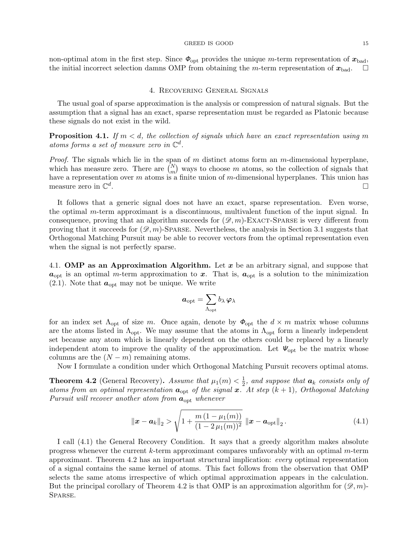#### GREED IS GOOD 15

non-optimal atom in the first step. Since  $\Phi_{\text{opt}}$  provides the unique m-term representation of  $x_{\text{bad}}$ , the initial incorrect selection damns OMP from obtaining the m-term representation of  $x_{bad}$ .

## 4. Recovering General Signals

The usual goal of sparse approximation is the analysis or compression of natural signals. But the assumption that a signal has an exact, sparse representation must be regarded as Platonic because these signals do not exist in the wild.

**Proposition 4.1.** If  $m < d$ , the collection of signals which have an exact representation using m atoms forms a set of measure zero in  $\mathbb{C}^d$ .

*Proof.* The signals which lie in the span of  $m$  distinct atoms form an  $m$ -dimensional hyperplane, which has measure zero. There are  $\binom{N}{m}$  ways to choose m atoms, so the collection of signals that have a representation over m atoms is a finite union of m-dimensional hyperplanes. This union has measure zero in  $\mathbb{C}^d$ .

It follows that a generic signal does not have an exact, sparse representation. Even worse, the optimal m-term approximant is a discontinuous, multivalent function of the input signal. In consequence, proving that an algorithm succeeds for  $(\mathscr{D}, m)$ -EXACT-SPARSE is very different from proving that it succeeds for  $(\mathscr{D}, m)$ -SPARSE. Nevertheless, the analysis in Section 3.1 suggests that Orthogonal Matching Pursuit may be able to recover vectors from the optimal representation even when the signal is not perfectly sparse.

4.1. OMP as an Approximation Algorithm. Let x be an arbitrary signal, and suppose that  $a_{\text{opt}}$  is an optimal m-term approximation to x. That is,  $a_{\text{opt}}$  is a solution to the minimization  $(2.1)$ . Note that  $a_{opt}$  may not be unique. We write

$$
\boldsymbol{a}_{\mathrm{opt}}=\sum_{\Lambda_{\mathrm{opt}}}b_{\lambda}\,{\boldsymbol{\varphi}}_{\lambda}
$$

for an index set  $\Lambda_{\text{opt}}$  of size m. Once again, denote by  $\Phi_{\text{opt}}$  the  $d \times m$  matrix whose columns are the atoms listed in  $\Lambda_{\text{opt}}$ . We may assume that the atoms in  $\Lambda_{\text{opt}}$  form a linearly independent set because any atom which is linearly dependent on the others could be replaced by a linearly independent atom to improve the quality of the approximation. Let  $\mathcal{V}_{opt}$  be the matrix whose columns are the  $(N - m)$  remaining atoms.

Now I formulate a condition under which Orthogonal Matching Pursuit recovers optimal atoms.

**Theorem 4.2** (General Recovery). Assume that  $\mu_1(m) < \frac{1}{2}$  $\frac{1}{2}$ , and suppose that  $a_k$  consists only of atoms from an optimal representation  $a_{opt}$  of the signal x. At step  $(k + 1)$ , Orthogonal Matching Pursuit will recover another atom from  $a_{opt}$  whenever

$$
\|\boldsymbol{x} - \boldsymbol{a}_k\|_2 > \sqrt{1 + \frac{m\left(1 - \mu_1(m)\right)}{(1 - 2\,\mu_1(m))^2}} \, \|\boldsymbol{x} - \boldsymbol{a}_{\text{opt}}\|_2 \,. \tag{4.1}
$$

I call (4.1) the General Recovery Condition. It says that a greedy algorithm makes absolute progress whenever the current k-term approximant compares unfavorably with an optimal m-term approximant. Theorem 4.2 has an important structural implication: every optimal representation of a signal contains the same kernel of atoms. This fact follows from the observation that OMP selects the same atoms irrespective of which optimal approximation appears in the calculation. But the principal corollary of Theorem 4.2 is that OMP is an approximation algorithm for  $(\mathscr{D}, m)$ -SPARSE.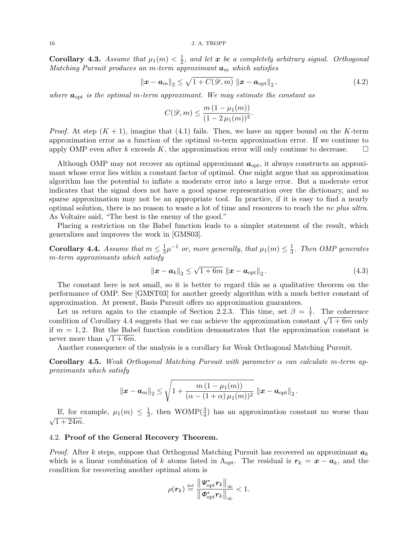#### 16 J. A. TROPP

Corollary 4.3. Assume that  $\mu_1(m) < \frac{1}{2}$  $\frac{1}{2}$ , and let  $\bm{x}$  be a completely arbitrary signal. Orthogonal Matching Pursuit produces an m-term approximant  $a_m$  which satisfies

$$
\left\|\boldsymbol{x} - \boldsymbol{a}_{m}\right\|_{2} \leq \sqrt{1 + C(\mathcal{D}, m)} \left\|\boldsymbol{x} - \boldsymbol{a}_{\text{opt}}\right\|_{2},\tag{4.2}
$$

where  $a_{opt}$  is the optimal m-term approximant. We may estimate the constant as

$$
C(\mathcal{D},m) \leq \frac{m(1-\mu_1(m))}{(1-2\mu_1(m))^2}.
$$

*Proof.* At step  $(K + 1)$ , imagine that  $(4.1)$  fails. Then, we have an upper bound on the K-term approximation error as a function of the optimal  $m$ -term approximation error. If we continue to apply OMP even after k exceeds K, the approximation error will only continue to decrease.  $\square$ 

Although OMP may not recover an optimal approximant  $a_{\text{opt}}$ , it always constructs an approximant whose error lies within a constant factor of optimal. One might argue that an approximation algorithm has the potential to inflate a moderate error into a large error. But a moderate error indicates that the signal does not have a good sparse representation over the dictionary, and so sparse approximation may not be an appropriate tool. In practice, if it is easy to find a nearly optimal solution, there is no reason to waste a lot of time and resources to reach the ne plus ultra. As Voltaire said, "The best is the enemy of the good."

Placing a restriction on the Babel function leads to a simpler statement of the result, which generalizes and improves the work in [GMS03].

Corollary 4.4. Assume that  $m \leq \frac{1}{3}$  $\frac{1}{3}\mu^{-1}$  or, more generally, that  $\mu_1(m) \leq \frac{1}{3}$  $\frac{1}{3}$ . Then OMP generates m-term approximants which satisfy

$$
\|\bm{x} - \bm{a}_k\|_2 \le \sqrt{1 + 6m} \|\bm{x} - \bm{a}_{\text{opt}}\|_2.
$$
 (4.3)

The constant here is not small, so it is better to regard this as a qualitative theorem on the performance of OMP. See [GMST03] for another greedy algorithm with a much better constant of approximation. At present, Basis Pursuit offers no approximation guarantees.

Let us return again to the example of Section 2.2.3. This time, set  $\beta = \frac{1}{7}$  $\frac{1}{7}$ . The coherence Let us return again to the example of Section 2.2.5. This time, set  $\rho = \frac{1}{7}$ . The condition of Corollary 4.4 suggests that we can achieve the approximation constant  $\sqrt{1+6m}$  only if  $m = 1, 2$ . But the Babel function condition demonstrates that the approximation constant is if  $m = 1, 2$ . But the Babe<br>never more than  $\sqrt{1 + 6m}$ .

Another consequence of the analysis is a corollary for Weak Orthogonal Matching Pursuit.

**Corollary 4.5.** Weak Orthogonal Matching Pursuit with parameter  $\alpha$  can calculate m-term approximants which satisfy

$$
\|\bm{x}-\bm{a}_m\|_2 \leq \sqrt{1+\frac{m\,(1-\mu_1(m))}{(\alpha-(1+\alpha)\,\mu_1(m))^2}}\, \left\|\bm{x}-\bm{a}_{\text{opt}}\right\|_2.
$$

If, for example,  $\mu_1(m) \leq \frac{1}{3}$  $\frac{1}{3}$ , then WOMP( $\frac{3}{4}$ ) has an approximation constant no worse than √  $\overline{1 + 24m}$ .

# 4.2. Proof of the General Recovery Theorem.

*Proof.* After k steps, suppose that Orthogonal Matching Pursuit has recovered an approximant  $a_k$ which is a linear combination of k atoms listed in  $\Lambda_{\text{opt}}$ . The residual is  $r_k = x - a_k$ , and the condition for recovering another optimal atom is

$$
\rho(\boldsymbol{r}_k) \stackrel{\text{def}}{=} \frac{\left\| \boldsymbol{\varPsi}_{\text{opt}}^* \boldsymbol{r}_k \right\|_{\infty}}{\left\| \boldsymbol{\varPhi}_{\text{opt}}^* \boldsymbol{r}_k \right\|_{\infty}} < 1.
$$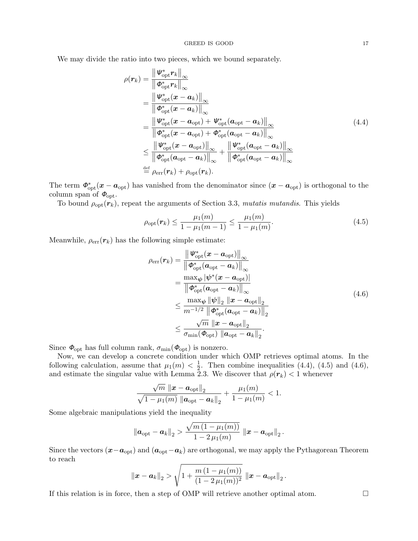We may divide the ratio into two pieces, which we bound separately.

$$
\rho(\mathbf{r}_{k}) = \frac{\left\|\mathbf{W}_{\text{opt}}^{*}\mathbf{r}_{k}\right\|_{\infty}}{\left\|\mathbf{\Phi}_{\text{opt}}^{*}\mathbf{r}_{k}\right\|_{\infty}}
$$
\n
$$
= \frac{\left\|\mathbf{W}_{\text{opt}}^{*}(\mathbf{x}-\mathbf{a}_{k})\right\|_{\infty}}{\left\|\mathbf{\Phi}_{\text{opt}}^{*}(\mathbf{x}-\mathbf{a}_{k})\right\|_{\infty}}
$$
\n
$$
= \frac{\left\|\mathbf{W}_{\text{opt}}^{*}(\mathbf{x}-\mathbf{a}_{\text{opt}})\right\|_{\infty}}{\left\|\mathbf{\Phi}_{\text{opt}}^{*}(\mathbf{x}-\mathbf{a}_{\text{opt}})+\mathbf{\Psi}_{\text{opt}}^{*}(\mathbf{a}_{\text{opt}}-\mathbf{a}_{k})\right\|_{\infty}}
$$
\n
$$
\leq \frac{\left\|\mathbf{W}_{\text{opt}}^{*}(\mathbf{x}-\mathbf{a}_{\text{opt}})\right\|_{\infty}}{\left\|\mathbf{\Phi}_{\text{opt}}^{*}(\mathbf{x}-\mathbf{a}_{\text{opt}})\right\|_{\infty}} + \frac{\left\|\mathbf{W}_{\text{opt}}^{*}(\mathbf{a}_{\text{opt}}-\mathbf{a}_{k})\right\|_{\infty}}{\left\|\mathbf{\Phi}_{\text{opt}}^{*}(\mathbf{a}_{\text{opt}}-\mathbf{a}_{k})\right\|_{\infty}} + \frac{\left\|\mathbf{W}_{\text{opt}}^{*}(\mathbf{a}_{\text{opt}}-\mathbf{a}_{k})\right\|_{\infty}}{\left\|\mathbf{\Phi}_{\text{opt}}^{*}(\mathbf{a}_{\text{opt}}-\mathbf{a}_{k})\right\|_{\infty}}
$$
\n
$$
\stackrel{\text{def}}{=} \rho_{\text{err}}(\mathbf{r}_{k}) + \rho_{\text{opt}}(\mathbf{r}_{k}).
$$
\n(4.4)

The term  $\Phi_{\rm opt}^*(x-a_{\rm opt})$  has vanished from the denominator since  $(x-a_{\rm opt})$  is orthogonal to the column span of  $\Phi_{\text{opt}}$ .

To bound  $\rho_{opt}(\mathbf{r}_k)$ , repeat the arguments of Section 3.3, mutatis mutandis. This yields

$$
\rho_{\text{opt}}(\boldsymbol{r}_k) \le \frac{\mu_1(m)}{1 - \mu_1(m - 1)} \le \frac{\mu_1(m)}{1 - \mu_1(m)}.
$$
\n(4.5)

Meanwhile,  $\rho_{\text{err}}(\mathbf{r}_k)$  has the following simple estimate:

$$
\rho_{\text{err}}(\boldsymbol{r}_{k}) = \frac{\left\| \boldsymbol{\Psi}_{\text{opt}}^{*}(\boldsymbol{x} - \boldsymbol{a}_{\text{opt}}) \right\|_{\infty}}{\left\| \boldsymbol{\phi}_{\text{opt}}^{*}(\boldsymbol{a}_{\text{opt}} - \boldsymbol{a}_{k}) \right\|_{\infty}}
$$
\n
$$
= \frac{\max_{\boldsymbol{\psi}} |\boldsymbol{\psi}^{*}(\boldsymbol{x} - \boldsymbol{a}_{\text{opt}})|}{\left\| \boldsymbol{\phi}_{\text{opt}}^{*}(\boldsymbol{a}_{\text{opt}} - \boldsymbol{a}_{k}) \right\|_{\infty}}
$$
\n
$$
\leq \frac{\max_{\boldsymbol{\psi}} \|\boldsymbol{\psi}\|_{2} \left\| \boldsymbol{x} - \boldsymbol{a}_{\text{opt}} \right\|_{2}}{m^{-1/2} \left\| \boldsymbol{\phi}_{\text{opt}}^{*}(\boldsymbol{a}_{\text{opt}} - \boldsymbol{a}_{k}) \right\|_{2}}
$$
\n
$$
\leq \frac{\sqrt{m} \left\| \boldsymbol{x} - \boldsymbol{a}_{\text{opt}} \right\|_{2}}{\sigma_{\min}(\boldsymbol{\phi}_{\text{opt}}) \left\| \boldsymbol{a}_{\text{opt}} - \boldsymbol{a}_{k} \right\|_{2}}.
$$
\n(4.6)

Since  $\Phi_{\text{opt}}$  has full column rank,  $\sigma_{\min}(\Phi_{\text{opt}})$  is nonzero.

Now, we can develop a concrete condition under which OMP retrieves optimal atoms. In the following calculation, assume that  $\mu_1(m) < \frac{1}{2}$  $\frac{1}{2}$ . Then combine inequalities (4.4), (4.5) and (4.6), and estimate the singular value with Lemma 2.3. We discover that  $\rho(\mathbf{r}_k) < 1$  whenever

$$
\frac{\sqrt{m}\,\left\|\boldsymbol{x}-\boldsymbol{a}_{\rm opt}\right\|_2}{\sqrt{1-\mu_1(m)}\,\left\|\boldsymbol{a}_{\rm opt}-\boldsymbol{a}_k\right\|_2}+\frac{\mu_1(m)}{1-\mu_1(m)}<1.
$$

Some algebraic manipulations yield the inequality

$$
\left\|\boldsymbol{a}_{\mathrm{opt}}-\boldsymbol{a}_{k}\right\|_{2} > \frac{\sqrt{m\left(1-\mu_{1}(m)\right)}}{1-2\,\mu_{1}(m)}\,\left\|\boldsymbol{x}-\boldsymbol{a}_{\mathrm{opt}}\right\|_{2}.
$$

Since the vectors  $(x-a_{opt})$  and  $(a_{opt}-a_k)$  are orthogonal, we may apply the Pythagorean Theorem to reach

$$
\|\bm{x}-\bm{a}_k\|_2 > \sqrt{1+\frac{m\left(1-\mu_1(m)\right)}{(1-2\,\mu_1(m))^2}}\;\|\bm{x}-\bm{a}_{\text{opt}}\|_2\,.
$$

If this relation is in force, then a step of OMP will retrieve another optimal atom.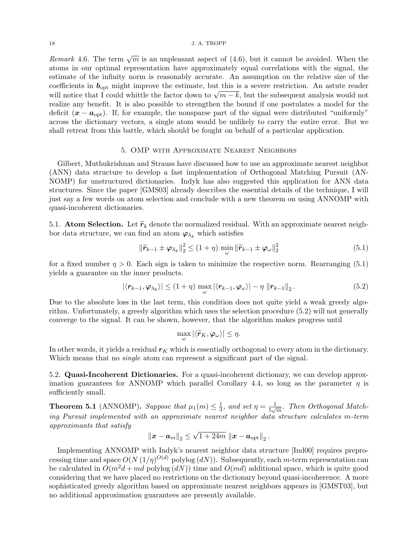#### 18 J. A. TROPP

Remark 4.6. The term  $\sqrt{m}$  is an unpleasant aspect of (4.6), but it cannot be avoided. When the atoms in our optimal representation have approximately equal correlations with the signal, the estimate of the infinity norm is reasonably accurate. An assumption on the relative size of the coefficients in  $b_{\text{opt}}$  might improve the estimate, but this is a severe restriction. An astute reader coefficients in  $\mathcal{O}_{\text{opt}}$  inight improve the estimate, but this is a severe restriction. An astute reader<br>will notice that I could whittle the factor down to  $\sqrt{m-k}$ , but the subsequent analysis would not realize any benefit. It is also possible to strengthen the bound if one postulates a model for the deficit  $(x - a_{\text{opt}})$ . If, for example, the nonsparse part of the signal were distributed "uniformly" across the dictionary vectors, a single atom would be unlikely to carry the entire error. But we shall retreat from this battle, which should be fought on behalf of a particular application.

# 5. OMP with Approximate Nearest Neighbors

Gilbert, Muthukrishnan and Strauss have discussed how to use an approximate nearest neighbor (ANN) data structure to develop a fast implementation of Orthogonal Matching Pursuit (AN-NOMP) for unstructured dictionaries. Indyk has also suggested this application for ANN data structures. Since the paper [GMS03] already describes the essential details of the technique, I will just say a few words on atom selection and conclude with a new theorem on using ANNOMP with quasi-incoherent dictionaries.

5.1. Atom Selection. Let  $\widetilde{r}_k$  denote the normalized residual. With an approximate nearest neighbor data structure, we can find an atom  $\varphi_{\lambda_k}$  which satisfies

$$
\|\widetilde{\boldsymbol{r}}_{k-1} \pm \boldsymbol{\varphi}_{\lambda_k}\|_2^2 \le (1+\eta) \min_{\omega} \|\widetilde{\boldsymbol{r}}_{k-1} \pm \boldsymbol{\varphi}_{\omega}\|_2^2 \tag{5.1}
$$

for a fixed number  $\eta > 0$ . Each sign is taken to minimize the respective norm. Rearranging (5.1) yields a guarantee on the inner products.

$$
|\langle \mathbf{r}_{k-1}, \boldsymbol{\varphi}_{\lambda_k} \rangle| \le (1+\eta) \max_{\omega} |\langle \mathbf{r}_{k-1}, \boldsymbol{\varphi}_{\omega} \rangle| - \eta \|\mathbf{r}_{k-1}\|_2. \tag{5.2}
$$

Due to the absolute loss in the last term, this condition does not quite yield a weak greedy algorithm. Unfortunately, a greedy algorithm which uses the selection procedure (5.2) will not generally converge to the signal. It can be shown, however, that the algorithm makes progress until

$$
\max_{\omega} |\langle \widetilde{r}_K, \varphi_{\omega} \rangle| \leq \eta.
$$

In other words, it yields a residual  $r_K$  which is essentially orthogonal to every atom in the dictionary. Which means that no *single* atom can represent a significant part of the signal.

5.2. Quasi-Incoherent Dictionaries. For a quasi-incoherent dictionary, we can develop approximation guarantees for ANNOMP which parallel Corollary 4.4, so long as the parameter  $\eta$  is sufficiently small.

**Theorem 5.1** (ANNOMP). Suppose that  $\mu_1(m) \leq \frac{1}{3}$  $\frac{1}{3}$ , and set  $\eta = \frac{1}{5\sqrt{3}}$  $\frac{1}{5\sqrt{m}}$ . Then Orthogonal Matching Pursuit implemented with an approximate nearest neighbor data structure calculates m-term approximants that satisfy √

$$
\left\|\boldsymbol{x}-\boldsymbol{a}_{m}\right\|_{2} \leq \sqrt{1+24m} \, \left\|\boldsymbol{x}-\boldsymbol{a}_{\textrm{opt}}\right\|_{2}.
$$

Implementing ANNOMP with Indyk's nearest neighbor data structure [Ind00] requires preprocessing time and space  $O(N (1/\eta)^{O(d)}$  polylog  $(dN)$ ). Subsequently, each m-term representation can be calculated in  $O(m^2d + md$  polylog  $(dN)$  time and  $O(md)$  additional space, which is quite good considering that we have placed no restrictions on the dictionary beyond quasi-incoherence. A more sophisticated greedy algorithm based on approximate nearest neighbors appears in [GMST03], but no additional approximation guarantees are presently available.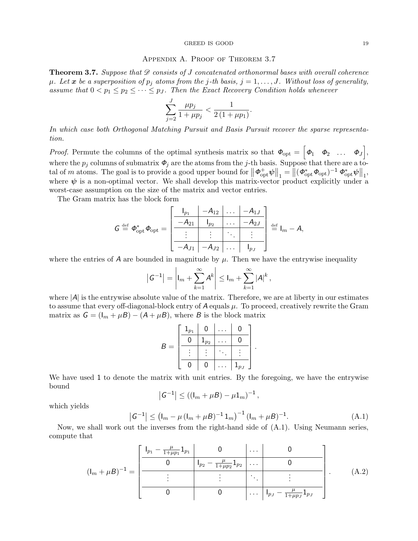#### GREED IS GOOD 19

### Appendix A. Proof of Theorem 3.7

**Theorem 3.7.** Suppose that  $\mathscr D$  consists of J concatenated orthonormal bases with overall coherence  $\mu$ . Let x be a superposition of  $p_i$  atoms from the j-th basis,  $j = 1, \ldots, J$ . Without loss of generality, assume that  $0 < p_1 \leq p_2 \leq \cdots \leq p_J$ . Then the Exact Recovery Condition holds whenever

$$
\sum_{j=2}^{J} \frac{\mu p_j}{1 + \mu p_j} < \frac{1}{2\left(1 + \mu p_1\right)}.
$$

In which case both Orthogonal Matching Pursuit and Basis Pursuit recover the sparse representation.

*Proof.* Permute the columns of the optimal synthesis matrix so that  $\boldsymbol{\phi}_{opt} = \begin{bmatrix} \boldsymbol{\phi}_1 & \boldsymbol{\phi}_2 & \dots & \boldsymbol{\phi}_J \end{bmatrix}$ , where the  $p_j$  columns of submatrix  $\mathbf{\Phi}_j$  are the atoms from the j-th basis. Suppose that there are a total of m atoms. The goal is to provide a good upper bound for  $\|\boldsymbol{\phi}_{\text{opt}}^{\text{+}}\boldsymbol{\psi}\|_1 = \left\|(\boldsymbol{\phi}_{\text{opt}}^* \boldsymbol{\phi}_{\text{opt}})^{-1} \boldsymbol{\phi}_{\text{opt}}^* \boldsymbol{\psi}\right\|_1$ where  $\psi$  is a non-optimal vector. We shall develop this matrix-vector product explicitly under a worst-case assumption on the size of the matrix and vector entries.

The Gram matrix has the block form

$$
G \stackrel{\text{def}}{=} \boldsymbol{\Phi}_{\text{opt}}^* \boldsymbol{\Phi}_{\text{opt}} = \begin{bmatrix} \begin{array}{c|c} |_{p_1} & -A_{12} & \dots & -A_{1J} \\ \hline -A_{21} & I_{p_2} & \dots & -A_{2J} \\ \hline \vdots & \vdots & \ddots & \vdots \\ \hline -A_{J1} & -A_{J2} & \dots & I_{p_J} \end{array} \end{bmatrix} \stackrel{\text{def}}{=} I_m - A,
$$

where the entries of A are bounded in magnitude by  $\mu$ . Then we have the entrywise inequality

$$
|G^{-1}| = \left| I_m + \sum_{k=1}^{\infty} A^k \right| \leq I_m + \sum_{k=1}^{\infty} |A|^k,
$$

where  $|A|$  is the entrywise absolute value of the matrix. Therefore, we are at liberty in our estimates to assume that every off-diagonal-block entry of  $A$  equals  $\mu$ . To proceed, creatively rewrite the Gram matrix as  $G = (I_m + \mu B) - (A + \mu B)$ , where B is the block matrix

$$
B = \left[ \begin{array}{c|c|c} \mathbf{1}_{p_1} & \mathbf{0} & \dots & \mathbf{0} \\ \hline \mathbf{0} & \mathbf{1}_{p_2} & \dots & \mathbf{0} \\ \hline \vdots & \vdots & \ddots & \vdots \\ \hline \mathbf{0} & \mathbf{0} & \dots & \mathbf{1}_{p_J} \end{array} \right]
$$

We have used 1 to denote the matrix with unit entries. By the foregoing, we have the entrywise bound

$$
|G^{-1}| \le ((I_m + \mu B) - \mu 1_m)^{-1},
$$

which yields

$$
|G^{-1}| \leq (I_m - \mu (I_m + \mu B)^{-1} 1_m)^{-1} (I_m + \mu B)^{-1}.
$$
 (A.1)

.

Now, we shall work out the inverses from the right-hand side of (A.1). Using Neumann series, compute that

$$
(\mathbf{l}_m + \mu B)^{-1} = \begin{bmatrix} \frac{\mathbf{l}_{p_1} - \frac{\mu}{1 + \mu p_1} \mathbf{1}_{p_1}}{0} & 0 & \cdots & 0\\ 0 & \mathbf{l}_{p_2} - \frac{\mu}{1 + \mu p_2} \mathbf{1}_{p_2} & \cdots & 0\\ \vdots & \vdots & \ddots & \vdots\\ 0 & 0 & 0 & \cdots & \mathbf{l}_{p_J} - \frac{\mu}{1 + \mu p_J} \mathbf{1}_{p_J} \end{bmatrix} .
$$
 (A.2)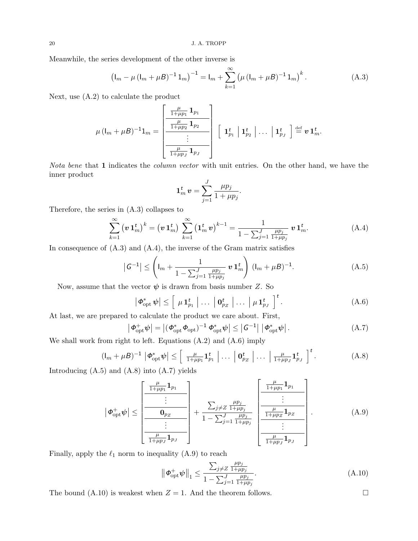Meanwhile, the series development of the other inverse is

$$
\left(\mathbf{I}_m - \mu \left(\mathbf{I}_m + \mu \mathbf{B}\right)^{-1} \mathbf{1}_m\right)^{-1} = \mathbf{I}_m + \sum_{k=1}^{\infty} \left(\mu \left(\mathbf{I}_m + \mu \mathbf{B}\right)^{-1} \mathbf{1}_m\right)^k.
$$
 (A.3)

Next, use (A.2) to calculate the product

$$
\mu\left(\mathsf{l}_m+\mu\mathsf{B}\right)^{-1}1_m=\left[\begin{array}{c|c} \frac{\mu}{1+\mu p_1} \mathbf{1}_{p_1} & \\ \hline \frac{\mu}{1+\mu p_2} \mathbf{1}_{p_2} & \\ \hline \vdots & \\ \hline \frac{\mu}{1+\mu p_J} \mathbf{1}_{p_J} \end{array}\right]\left[\begin{array}{c|c} \mathbf{1}_{p_1}^t & \mathbf{1}_{p_2}^t & \ldots & \mathbf{1}_{p_J}^t \end{array}\right]\overset{\mathrm{def}}{=} \boldsymbol{v}\,\mathbf{1}_m^t.
$$

Nota bene that 1 indicates the column vector with unit entries. On the other hand, we have the inner product

$$
\mathbf{1}_m^t \mathbf{v} = \sum_{j=1}^J \frac{\mu p_j}{1 + \mu p_j}.
$$

Therefore, the series in (A.3) collapses to

$$
\sum_{k=1}^{\infty} \left( \boldsymbol{v} \, \mathbf{1}_m^t \right)^k = \left( \boldsymbol{v} \, \mathbf{1}_m^t \right) \, \sum_{k=1}^{\infty} \left( \mathbf{1}_m^t \, \boldsymbol{v} \right)^{k-1} = \frac{1}{1 - \sum_{j=1}^J \frac{\mu p_j}{1 + \mu p_j}} \, \boldsymbol{v} \, \mathbf{1}_m^t. \tag{A.4}
$$

In consequence of  $(A.3)$  and  $(A.4)$ , the inverse of the Gram matrix satisfies

$$
|G^{-1}| \le \left( I_m + \frac{1}{1 - \sum_{j=1}^J \frac{\mu p_j}{1 + \mu p_j}} \mathbf{v} \mathbf{1}_m^t \right) (I_m + \mu B)^{-1}.
$$
 (A.5)

Now, assume that the vector  $\psi$  is drawn from basis number Z. So

$$
\left| \boldsymbol{\Phi}_{\rm opt}^* \boldsymbol{\psi} \right| \le \left[ \mu \mathbf{1}_{p_1}^t \middle| \dots \big| \mathbf{0}_{p_Z}^t \middle| \dots \big| \mu \mathbf{1}_{p_J}^t \right]^t.
$$
 (A.6)

At last, we are prepared to calculate the product we care about. First,

$$
\left| \boldsymbol{\phi}_{\mathrm{opt}}^+ \boldsymbol{\psi} \right| = \left| \left( \boldsymbol{\phi}_{\mathrm{opt}}^* \boldsymbol{\phi}_{\mathrm{opt}} \right)^{-1} \boldsymbol{\phi}_{\mathrm{opt}}^* \boldsymbol{\psi} \right| \le \left| \mathcal{G}^{-1} \right| \left| \boldsymbol{\phi}_{\mathrm{opt}}^* \boldsymbol{\psi} \right|.
$$
\n(A.7)

We shall work from right to left. Equations (A.2) and (A.6) imply

$$
(\mathbf{l}_m + \mu \mathbf{B})^{-1} \left| \boldsymbol{\Phi}_{\text{opt}}^* \boldsymbol{\psi} \right| \le \left[ \frac{\mu}{1 + \mu p_1} \mathbf{1}_{p_1}^t \left| \dots \left| \mathbf{0}_{p_Z}^t \right| \dots \left| \frac{\mu}{1 + \mu p_J} \mathbf{1}_{p_J}^t \right| \right]^t. \tag{A.8}
$$

Introducing  $(A.5)$  and  $(A.8)$  into  $(A.7)$  yields

 $\overline{\phantom{a}}$ 

$$
\left|\phi_{\text{opt}}^{+}\psi\right| \leq \left[\frac{\frac{\mu}{1+\mu p_1}\mathbf{1}_{p_1}}{\mathbf{0}_{p_2}}\right] + \frac{\sum_{j\neq Z}\frac{\mu p_j}{1+\mu p_j}}{1-\sum_{j=1}\frac{\mu p_j}{1+\mu p_j}}\left[\frac{\frac{\mu}{1+\mu p_1}\mathbf{1}_{p_1}}{\frac{\mu}{1+\mu p_Z}\mathbf{1}_{p_Z}}\right].\tag{A.9}
$$

Finally, apply the  $\ell_1$  norm to inequality (A.9) to reach

$$
\left\| \boldsymbol{\phi}_{\text{opt}}^{+} \boldsymbol{\psi} \right\|_{1} \leq \frac{\sum_{j \neq Z} \frac{\mu p_{j}}{1 + \mu p_{j}}}{1 - \sum_{j=1}^{J} \frac{\mu p_{j}}{1 + \mu p_{j}}}.
$$
\n(A.10)

The bound (A.10) is weakest when  $Z = 1$ . And the theorem follows.